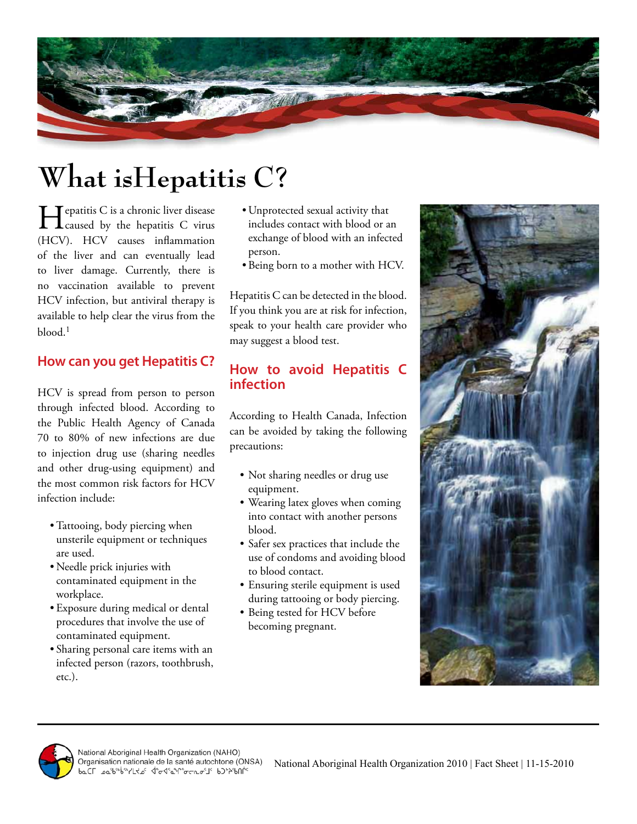

# **What isHepatitis C?**

Tepatitis C is a chronic liver disease **L** caused by the hepatitis C virus (HCV). HCV causes inflammation of the liver and can eventually lead to liver damage. Currently, there is no vaccination available to prevent HCV infection, but antiviral therapy is available to help clear the virus from the  $b$ lood.<sup>1</sup>

#### **How can you get Hepatitis C?**

HCV is spread from person to person through infected blood. According to the Public Health Agency of Canada 70 to 80% of new infections are due to injection drug use (sharing needles and other drug-using equipment) and the most common risk factors for HCV infection include:

- •Tattooing, body piercing when unsterile equipment or techniques are used.
- Needle prick injuries with contaminated equipment in the workplace.
- Exposure during medical or dental procedures that involve the use of contaminated equipment.
- Sharing personal care items with an infected person (razors, toothbrush, etc.).
- Unprotected sexual activity that includes contact with blood or an exchange of blood with an infected person.
- Being born to a mother with HCV.

Hepatitis C can be detected in the blood. If you think you are at risk for infection, speak to your health care provider who may suggest a blood test.

### **How to avoid Hepatitis C infection**

According to Health Canada, Infection can be avoided by taking the following precautions:

- Not sharing needles or drug use equipment.
- Wearing latex gloves when coming into contact with another persons blood.
- Safer sex practices that include the use of condoms and avoiding blood to blood contact.
- Ensuring sterile equipment is used during tattooing or body piercing.
- Being tested for HCV before becoming pregnant.